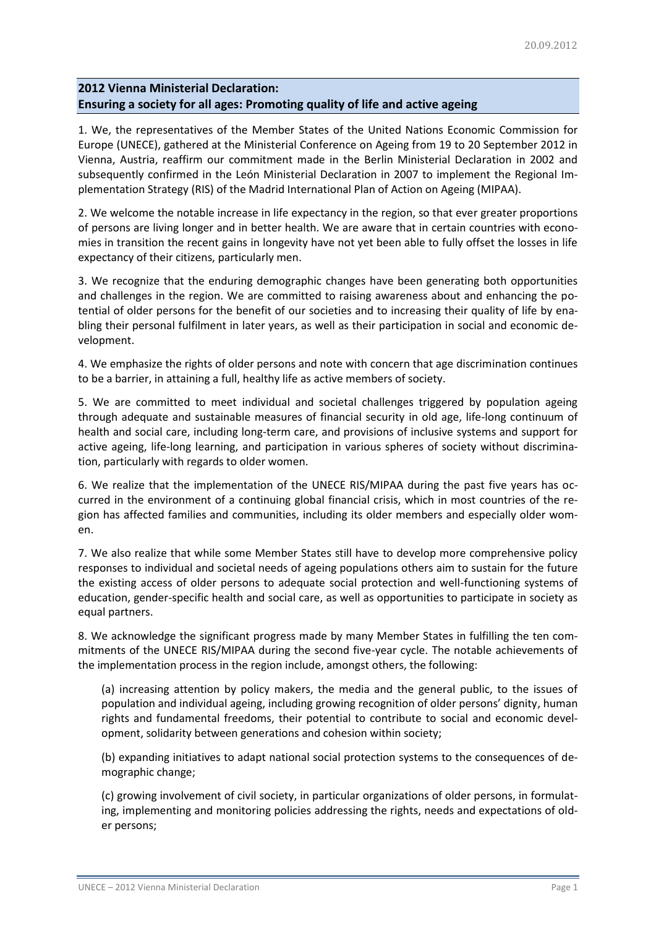# **2012 Vienna Ministerial Declaration: Ensuring a society for all ages: Promoting quality of life and active ageing**

1. We, the representatives of the Member States of the United Nations Economic Commission for Europe (UNECE), gathered at the Ministerial Conference on Ageing from 19 to 20 September 2012 in Vienna, Austria, reaffirm our commitment made in the Berlin Ministerial Declaration in 2002 and subsequently confirmed in the León Ministerial Declaration in 2007 to implement the Regional Implementation Strategy (RIS) of the Madrid International Plan of Action on Ageing (MIPAA).

2. We welcome the notable increase in life expectancy in the region, so that ever greater proportions of persons are living longer and in better health. We are aware that in certain countries with economies in transition the recent gains in longevity have not yet been able to fully offset the losses in life expectancy of their citizens, particularly men.

3. We recognize that the enduring demographic changes have been generating both opportunities and challenges in the region. We are committed to raising awareness about and enhancing the potential of older persons for the benefit of our societies and to increasing their quality of life by enabling their personal fulfilment in later years, as well as their participation in social and economic development.

4. We emphasize the rights of older persons and note with concern that age discrimination continues to be a barrier, in attaining a full, healthy life as active members of society.

5. We are committed to meet individual and societal challenges triggered by population ageing through adequate and sustainable measures of financial security in old age, life-long continuum of health and social care, including long-term care, and provisions of inclusive systems and support for active ageing, life-long learning, and participation in various spheres of society without discrimination, particularly with regards to older women.

6. We realize that the implementation of the UNECE RIS/MIPAA during the past five years has occurred in the environment of a continuing global financial crisis, which in most countries of the region has affected families and communities, including its older members and especially older women.

7. We also realize that while some Member States still have to develop more comprehensive policy responses to individual and societal needs of ageing populations others aim to sustain for the future the existing access of older persons to adequate social protection and well-functioning systems of education, gender-specific health and social care, as well as opportunities to participate in society as equal partners.

8. We acknowledge the significant progress made by many Member States in fulfilling the ten commitments of the UNECE RIS/MIPAA during the second five-year cycle. The notable achievements of the implementation process in the region include, amongst others, the following:

(a) increasing attention by policy makers, the media and the general public, to the issues of population and individual ageing, including growing recognition of older persons' dignity, human rights and fundamental freedoms, their potential to contribute to social and economic development, solidarity between generations and cohesion within society;

(b) expanding initiatives to adapt national social protection systems to the consequences of demographic change;

(c) growing involvement of civil society, in particular organizations of older persons, in formulating, implementing and monitoring policies addressing the rights, needs and expectations of older persons;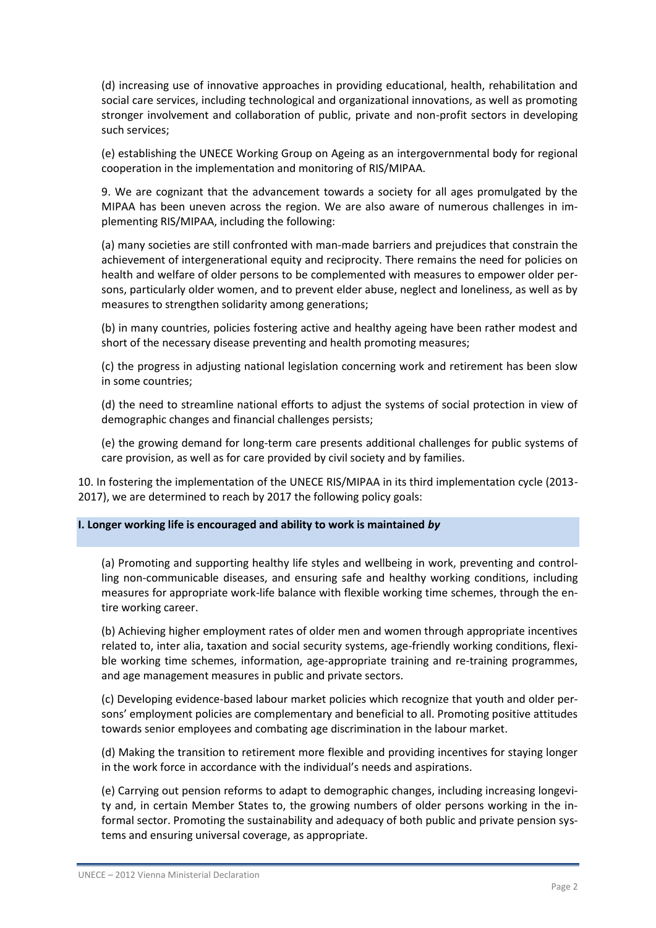(d) increasing use of innovative approaches in providing educational, health, rehabilitation and social care services, including technological and organizational innovations, as well as promoting stronger involvement and collaboration of public, private and non-profit sectors in developing such services;

(e) establishing the UNECE Working Group on Ageing as an intergovernmental body for regional cooperation in the implementation and monitoring of RIS/MIPAA.

9. We are cognizant that the advancement towards a society for all ages promulgated by the MIPAA has been uneven across the region. We are also aware of numerous challenges in implementing RIS/MIPAA, including the following:

(a) many societies are still confronted with man-made barriers and prejudices that constrain the achievement of intergenerational equity and reciprocity. There remains the need for policies on health and welfare of older persons to be complemented with measures to empower older persons, particularly older women, and to prevent elder abuse, neglect and loneliness, as well as by measures to strengthen solidarity among generations;

(b) in many countries, policies fostering active and healthy ageing have been rather modest and short of the necessary disease preventing and health promoting measures;

(c) the progress in adjusting national legislation concerning work and retirement has been slow in some countries;

(d) the need to streamline national efforts to adjust the systems of social protection in view of demographic changes and financial challenges persists;

(e) the growing demand for long-term care presents additional challenges for public systems of care provision, as well as for care provided by civil society and by families.

10. In fostering the implementation of the UNECE RIS/MIPAA in its third implementation cycle (2013- 2017), we are determined to reach by 2017 the following policy goals:

## **I. Longer working life is encouraged and ability to work is maintained** *by*

(a) Promoting and supporting healthy life styles and wellbeing in work, preventing and controlling non-communicable diseases, and ensuring safe and healthy working conditions, including measures for appropriate work-life balance with flexible working time schemes, through the entire working career.

(b) Achieving higher employment rates of older men and women through appropriate incentives related to, inter alia, taxation and social security systems, age-friendly working conditions, flexible working time schemes, information, age-appropriate training and re-training programmes, and age management measures in public and private sectors.

(c) Developing evidence-based labour market policies which recognize that youth and older persons' employment policies are complementary and beneficial to all. Promoting positive attitudes towards senior employees and combating age discrimination in the labour market.

(d) Making the transition to retirement more flexible and providing incentives for staying longer in the work force in accordance with the individual's needs and aspirations.

(e) Carrying out pension reforms to adapt to demographic changes, including increasing longevity and, in certain Member States to, the growing numbers of older persons working in the informal sector. Promoting the sustainability and adequacy of both public and private pension systems and ensuring universal coverage, as appropriate.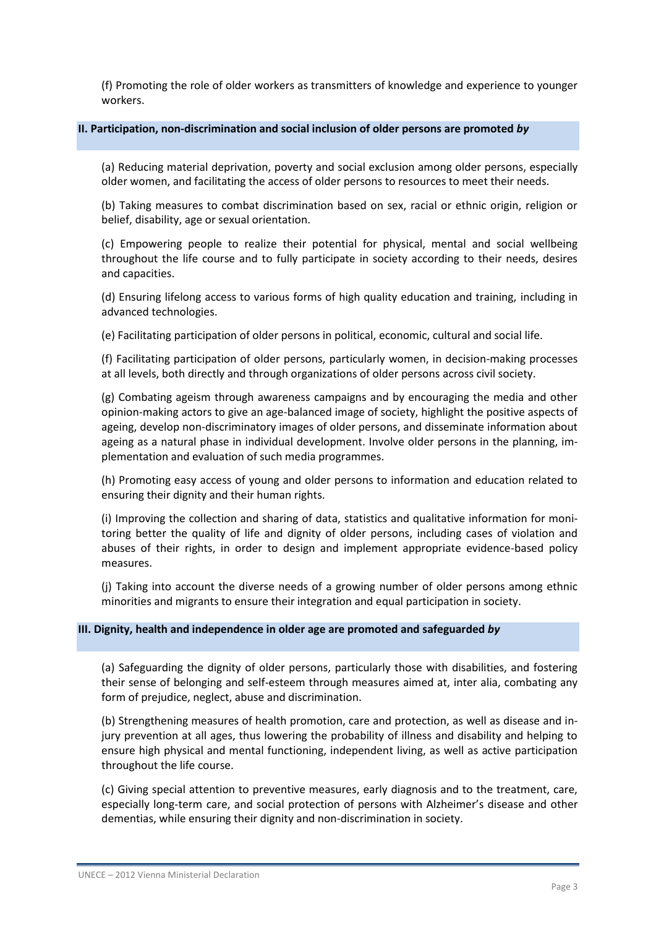(f) Promoting the role of older workers as transmitters of knowledge and experience to younger workers.

## **II. Participation, non-discrimination and social inclusion of older persons are promoted** *by*

(a) Reducing material deprivation, poverty and social exclusion among older persons, especially older women, and facilitating the access of older persons to resources to meet their needs.

(b) Taking measures to combat discrimination based on sex, racial or ethnic origin, religion or belief, disability, age or sexual orientation.

(c) Empowering people to realize their potential for physical, mental and social wellbeing throughout the life course and to fully participate in society according to their needs, desires and capacities.

(d) Ensuring lifelong access to various forms of high quality education and training, including in advanced technologies.

(e) Facilitating participation of older persons in political, economic, cultural and social life.

(f) Facilitating participation of older persons, particularly women, in decision-making processes at all levels, both directly and through organizations of older persons across civil society.

(g) Combating ageism through awareness campaigns and by encouraging the media and other opinion-making actors to give an age-balanced image of society, highlight the positive aspects of ageing, develop non-discriminatory images of older persons, and disseminate information about ageing as a natural phase in individual development. Involve older persons in the planning, implementation and evaluation of such media programmes.

(h) Promoting easy access of young and older persons to information and education related to ensuring their dignity and their human rights.

(i) Improving the collection and sharing of data, statistics and qualitative information for monitoring better the quality of life and dignity of older persons, including cases of violation and abuses of their rights, in order to design and implement appropriate evidence-based policy measures.

(j) Taking into account the diverse needs of a growing number of older persons among ethnic minorities and migrants to ensure their integration and equal participation in society.

## **III. Dignity, health and independence in older age are promoted and safeguarded** *by*

(a) Safeguarding the dignity of older persons, particularly those with disabilities, and fostering their sense of belonging and self-esteem through measures aimed at, inter alia, combating any form of prejudice, neglect, abuse and discrimination.

(b) Strengthening measures of health promotion, care and protection, as well as disease and injury prevention at all ages, thus lowering the probability of illness and disability and helping to ensure high physical and mental functioning, independent living, as well as active participation throughout the life course.

(c) Giving special attention to preventive measures, early diagnosis and to the treatment, care, especially long-term care, and social protection of persons with Alzheimer's disease and other dementias, while ensuring their dignity and non-discrimination in society.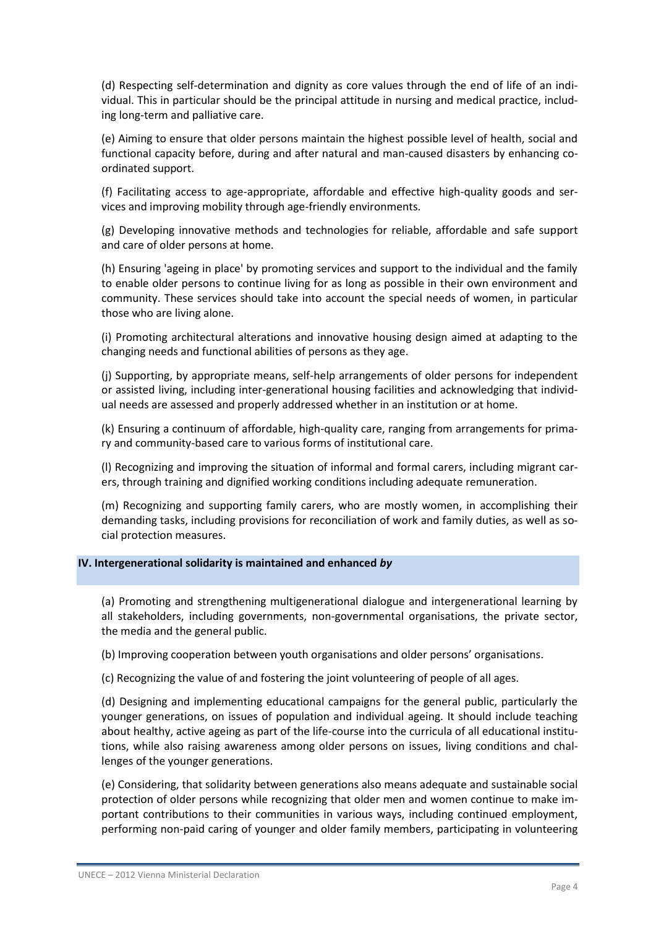(d) Respecting self-determination and dignity as core values through the end of life of an individual. This in particular should be the principal attitude in nursing and medical practice, including long-term and palliative care.

(e) Aiming to ensure that older persons maintain the highest possible level of health, social and functional capacity before, during and after natural and man-caused disasters by enhancing coordinated support.

(f) Facilitating access to age-appropriate, affordable and effective high-quality goods and services and improving mobility through age-friendly environments.

(g) Developing innovative methods and technologies for reliable, affordable and safe support and care of older persons at home.

(h) Ensuring 'ageing in place' by promoting services and support to the individual and the family to enable older persons to continue living for as long as possible in their own environment and community. These services should take into account the special needs of women, in particular those who are living alone.

(i) Promoting architectural alterations and innovative housing design aimed at adapting to the changing needs and functional abilities of persons as they age.

(j) Supporting, by appropriate means, self-help arrangements of older persons for independent or assisted living, including inter-generational housing facilities and acknowledging that individual needs are assessed and properly addressed whether in an institution or at home.

(k) Ensuring a continuum of affordable, high-quality care, ranging from arrangements for primary and community-based care to various forms of institutional care.

(l) Recognizing and improving the situation of informal and formal carers, including migrant carers, through training and dignified working conditions including adequate remuneration.

(m) Recognizing and supporting family carers, who are mostly women, in accomplishing their demanding tasks, including provisions for reconciliation of work and family duties, as well as social protection measures.

## **IV. Intergenerational solidarity is maintained and enhanced** *by*

(a) Promoting and strengthening multigenerational dialogue and intergenerational learning by all stakeholders, including governments, non-governmental organisations, the private sector, the media and the general public.

(b) Improving cooperation between youth organisations and older persons' organisations.

(c) Recognizing the value of and fostering the joint volunteering of people of all ages.

(d) Designing and implementing educational campaigns for the general public, particularly the younger generations, on issues of population and individual ageing. It should include teaching about healthy, active ageing as part of the life-course into the curricula of all educational institutions, while also raising awareness among older persons on issues, living conditions and challenges of the younger generations.

(e) Considering, that solidarity between generations also means adequate and sustainable social protection of older persons while recognizing that older men and women continue to make important contributions to their communities in various ways, including continued employment, performing non-paid caring of younger and older family members, participating in volunteering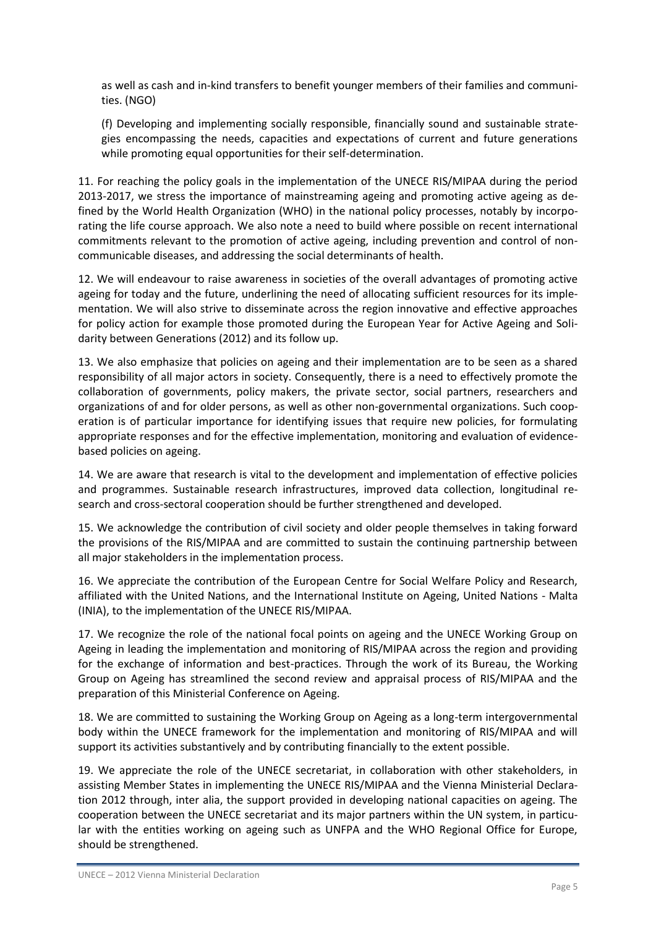as well as cash and in-kind transfers to benefit younger members of their families and communities. (NGO)

(f) Developing and implementing socially responsible, financially sound and sustainable strategies encompassing the needs, capacities and expectations of current and future generations while promoting equal opportunities for their self-determination.

11. For reaching the policy goals in the implementation of the UNECE RIS/MIPAA during the period 2013-2017, we stress the importance of mainstreaming ageing and promoting active ageing as defined by the World Health Organization (WHO) in the national policy processes, notably by incorporating the life course approach. We also note a need to build where possible on recent international commitments relevant to the promotion of active ageing, including prevention and control of noncommunicable diseases, and addressing the social determinants of health.

12. We will endeavour to raise awareness in societies of the overall advantages of promoting active ageing for today and the future, underlining the need of allocating sufficient resources for its implementation. We will also strive to disseminate across the region innovative and effective approaches for policy action for example those promoted during the European Year for Active Ageing and Solidarity between Generations (2012) and its follow up.

13. We also emphasize that policies on ageing and their implementation are to be seen as a shared responsibility of all major actors in society. Consequently, there is a need to effectively promote the collaboration of governments, policy makers, the private sector, social partners, researchers and organizations of and for older persons, as well as other non-governmental organizations. Such cooperation is of particular importance for identifying issues that require new policies, for formulating appropriate responses and for the effective implementation, monitoring and evaluation of evidencebased policies on ageing.

14. We are aware that research is vital to the development and implementation of effective policies and programmes. Sustainable research infrastructures, improved data collection, longitudinal research and cross-sectoral cooperation should be further strengthened and developed.

15. We acknowledge the contribution of civil society and older people themselves in taking forward the provisions of the RIS/MIPAA and are committed to sustain the continuing partnership between all major stakeholders in the implementation process.

16. We appreciate the contribution of the European Centre for Social Welfare Policy and Research, affiliated with the United Nations, and the International Institute on Ageing, United Nations - Malta (INIA), to the implementation of the UNECE RIS/MIPAA.

17. We recognize the role of the national focal points on ageing and the UNECE Working Group on Ageing in leading the implementation and monitoring of RIS/MIPAA across the region and providing for the exchange of information and best-practices. Through the work of its Bureau, the Working Group on Ageing has streamlined the second review and appraisal process of RIS/MIPAA and the preparation of this Ministerial Conference on Ageing.

18. We are committed to sustaining the Working Group on Ageing as a long-term intergovernmental body within the UNECE framework for the implementation and monitoring of RIS/MIPAA and will support its activities substantively and by contributing financially to the extent possible.

19. We appreciate the role of the UNECE secretariat, in collaboration with other stakeholders, in assisting Member States in implementing the UNECE RIS/MIPAA and the Vienna Ministerial Declaration 2012 through, inter alia, the support provided in developing national capacities on ageing. The cooperation between the UNECE secretariat and its major partners within the UN system, in particular with the entities working on ageing such as UNFPA and the WHO Regional Office for Europe, should be strengthened.